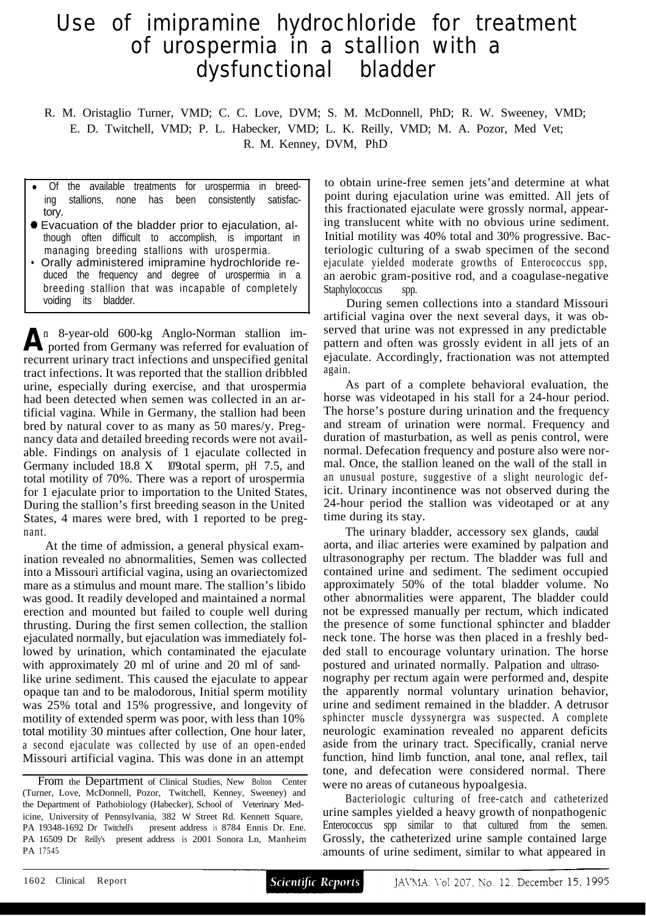## Use of imipramine hydrochloride for treatment of urospermia in a stallion with a dysfunctional bladder

R. M. Oristaglio Turner, VMD; C. C. Love, DVM; S. M. McDonnell, PhD; R. W. Sweeney, VMD; E. D. Twitchell, VMD; P. L. Habecker, VMD; L. K. Reilly, VMD; M. A. Pozor, Med Vet;

R. M. Kenney, DVM, PhD

- Of the available treatments for urospermia in breeding stallions, none has been consistently satisfactory.
- Evacuation of the bladder prior to ejaculation, although often difficult to accomplish, is important in managing breeding stallions with urospermia.
- Orally administered imipramine hydrochloride reduced the frequency and degree of urospermia in a breeding stallion that was incapable of completely voiding its bladder.

n 8-year-old 600-kg Anglo-Norman stallion im-A<sup>n</sup> 8-year-old 600-kg Anglo-Norman stallion imported from Germany was referred for evaluation of recurrent urinary tract infections and unspecified genital tract infections. It was reported that the stallion dribbled urine, especially during exercise, and that urospermia had been detected when semen was collected in an artificial vagina. While in Germany, the stallion had been bred by natural cover to as many as 50 mares/y. Pregnancy data and detailed breeding records were not available. Findings on analysis of 1 ejaculate collected in Germany included 18.8 X 10° total sperm, pH 7.5, and total motility of 70%. There was a report of urospermia for 1 ejaculate prior to importation to the United States, During the stallion's first breeding season in the United States, 4 mares were bred, with 1 reported to be pregnant.

At the time of admission, a general physical examination revealed no abnormalities, Semen was collected into a Missouri artificial vagina, using an ovariectomized mare as a stimulus and mount mare. The stallion's libido was good. It readily developed and maintained a normal erection and mounted but failed to couple well during thrusting. During the first semen collection, the stallion ejaculated normally, but ejaculation was immediately followed by urination, which contaminated the ejaculate with approximately 20 ml of urine and 20 ml of sandlike urine sediment. This caused the ejaculate to appear opaque tan and to be malodorous, Initial sperm motility was 25% total and 15% progressive, and longevity of motility of extended sperm was poor, with less than 10% total motility 30 mintues after collection, One hour later, a second ejaculate was collected by use of an open-ended Missouri artificial vagina. This was done in an attempt

to obtain urine-free semen jets'and determine at what point during ejaculation urine was emitted. All jets of this fractionated ejaculate were grossly normal, appearing translucent white with no obvious urine sediment. Initial motility was 40% total and 30% progressive. Bacteriologic culturing of a swab specimen of the second ejaculate yielded moderate growths of Enterococcus spp, an aerobic gram-positive rod, and a coagulase-negative Staphylococcus spp.

During semen collections into a standard Missouri artificial vagina over the next several days, it was observed that urine was not expressed in any predictable pattern and often was grossly evident in all jets of an ejaculate. Accordingly, fractionation was not attempted again.

As part of a complete behavioral evaluation, the horse was videotaped in his stall for a 24-hour period. The horse's posture during urination and the frequency and stream of urination were normal. Frequency and duration of masturbation, as well as penis control, were normal. Defecation frequency and posture also were normal. Once, the stallion leaned on the wall of the stall in an unusual posture, suggestive of a slight neurologic deficit. Urinary incontinence was not observed during the 24-hour period the stallion was videotaped or at any time during its stay.

The urinary bladder, accessory sex glands, caudal aorta, and iliac arteries were examined by palpation and ultrasonography per rectum. The bladder was full and contained urine and sediment. The sediment occupied approximately 50% of the total bladder volume. No other abnormalities were apparent, The bladder could not be expressed manually per rectum, which indicated the presence of some functional sphincter and bladder neck tone. The horse was then placed in a freshly bedded stall to encourage voluntary urination. The horse postured and urinated normally. Palpation and ultrasonography per rectum again were performed and, despite the apparently normal voluntary urination behavior, urine and sediment remained in the bladder. A detrusor sphincter muscle dyssynergra was suspected. A complete neurologic examination revealed no apparent deficits aside from the urinary tract. Specifically, cranial nerve function, hind limb function, anal tone, anal reflex, tail tone, and defecation were considered normal. There were no areas of cutaneous hypoalgesia.

Bacteriologic culturing of free-catch and catheterized urine samples yielded a heavy growth of nonpathogenic Enterococcus spp similar to that cultured from the semen. Grossly, the catheterized urine sample contained large amounts of urine sediment, similar to what appeared in

From the Department of Clinical Studies, New Bolton Center (Turner, Love, McDonnell, Pozor, Twitchell, Kenney, Sweeney) and the Department of Pathobiology (Habecker), School of Veterinary Medicine, University of Pennsylvania, 382 W Street Rd. Kennett Square, PA 19348-1692 Dr Twitchell's present address is 8784 Ennis Dr. Ene. PA 16509 Dr Reilly's present address is 2001 Sonora Ln, Manheim PA 17545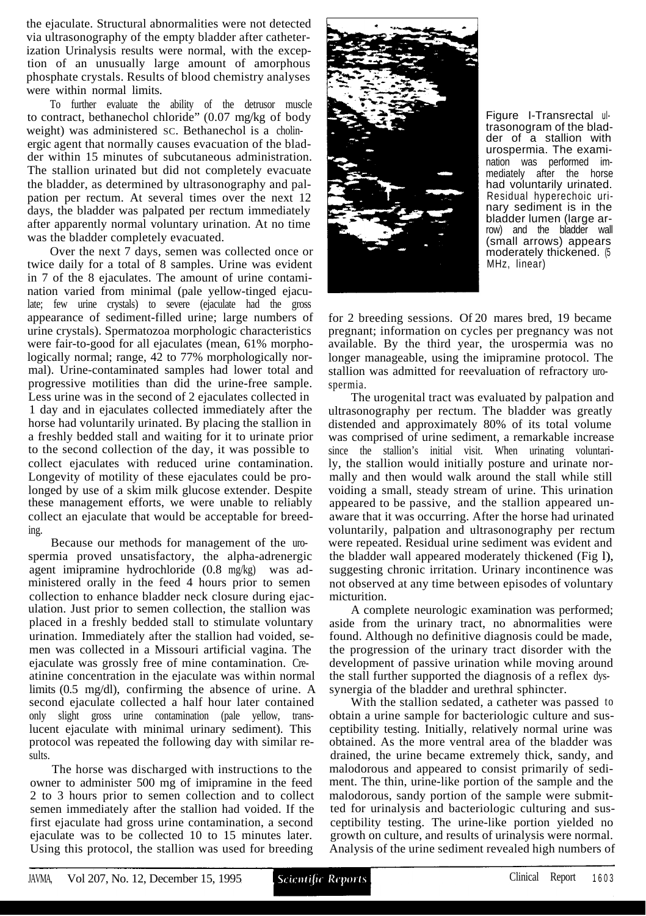the ejaculate. Structural abnormalities were not detected via ultrasonography of the empty bladder after catheterization Urinalysis results were normal, with the exception of an unusually large amount of amorphous phosphate crystals. Results of blood chemistry analyses were within normal limits.

To further evaluate the ability of the detrusor muscle to contract, bethanechol chloride" (0.07 mg/kg of body weight) was administered sc. Bethanechol is a cholinergic agent that normally causes evacuation of the bladder within 15 minutes of subcutaneous administration. The stallion urinated but did not completely evacuate the bladder, as determined by ultrasonography and palpation per rectum. At several times over the next 12 days, the bladder was palpated per rectum immediately after apparently normal voluntary urination. At no time was the bladder completely evacuated.

Over the next 7 days, semen was collected once or twice daily for a total of 8 samples. Urine was evident in 7 of the 8 ejaculates. The amount of urine contamination varied from minimal (pale yellow-tinged ejaculate; few urine crystals) to severe (ejaculate had the gross appearance of sediment-filled urine; large numbers of urine crystals). Spermatozoa morphologic characteristics were fair-to-good for all ejaculates (mean, 61% morphologically normal; range, 42 to 77% morphologically normal). Urine-contaminated samples had lower total and progressive motilities than did the urine-free sample. Less urine was in the second of 2 ejaculates collected in 1 day and in ejaculates collected immediately after the horse had voluntarily urinated. By placing the stallion in a freshly bedded stall and waiting for it to urinate prior to the second collection of the day, it was possible to collect ejaculates with reduced urine contamination. Longevity of motility of these ejaculates could be prolonged by use of a skim milk glucose extender. Despite these management efforts, we were unable to reliably collect an ejaculate that would be acceptable for breeding.

Because our methods for management of the urospermia proved unsatisfactory, the alpha-adrenergic agent imipramine hydrochloride (0.8 mg/kg) was administered orally in the feed 4 hours prior to semen collection to enhance bladder neck closure during ejaculation. Just prior to semen collection, the stallion was placed in a freshly bedded stall to stimulate voluntary urination. Immediately after the stallion had voided, semen was collected in a Missouri artificial vagina. The ejaculate was grossly free of mine contamination. Creatinine concentration in the ejaculate was within normal limits (0.5 mg/dl), confirming the absence of urine. A second ejaculate collected a half hour later contained only slight gross urine contamination (pale yellow, translucent ejaculate with minimal urinary sediment). This protocol was repeated the following day with similar results.

The horse was discharged with instructions to the owner to administer 500 mg of imipramine in the feed 2 to 3 hours prior to semen collection and to collect semen immediately after the stallion had voided. If the first ejaculate had gross urine contamination, a second ejaculate was to be collected 10 to 15 minutes later. Using this protocol, the stallion was used for breeding



Figure I-Transrectal ultrasonogram of the bladder of a stallion with urospermia. The examination was performed immediately after the horse had voluntarily urinated. Residual hyperechoic urinary sediment is in the bladder lumen (large arrow) and the bladder wall (small arrows) appears moderately thickened. (5 MHz, linear)

for 2 breeding sessions. Of 20 mares bred, 19 became pregnant; information on cycles per pregnancy was not available. By the third year, the urospermia was no longer manageable, using the imipramine protocol. The stallion was admitted for reevaluation of refractory urospermia.

The urogenital tract was evaluated by palpation and ultrasonography per rectum. The bladder was greatly distended and approximately 80% of its total volume was comprised of urine sediment, a remarkable increase since the stallion's initial visit. When urinating voluntarily, the stallion would initially posture and urinate normally and then would walk around the stall while still voiding a small, steady stream of urine. This urination appeared to be passive, and the stallion appeared unaware that it was occurring. After the horse had urinated voluntarily, palpation and ultrasonography per rectum were repeated. Residual urine sediment was evident and the bladder wall appeared moderately thickened (Fig l), suggesting chronic irritation. Urinary incontinence was not observed at any time between episodes of voluntary micturition.

A complete neurologic examination was performed; aside from the urinary tract, no abnormalities were found. Although no definitive diagnosis could be made, the progression of the urinary tract disorder with the development of passive urination while moving around the stall further supported the diagnosis of a reflex dyssynergia of the bladder and urethral sphincter.

With the stallion sedated, a catheter was passed to obtain a urine sample for bacteriologic culture and susceptibility testing. Initially, relatively normal urine was obtained. As the more ventral area of the bladder was drained, the urine became extremely thick, sandy, and malodorous and appeared to consist primarily of sediment. The thin, urine-like portion of the sample and the malodorous, sandy portion of the sample were submitted for urinalysis and bacteriologic culturing and susceptibility testing. The urine-like portion yielded no growth on culture, and results of urinalysis were normal. Analysis of the urine sediment revealed high numbers of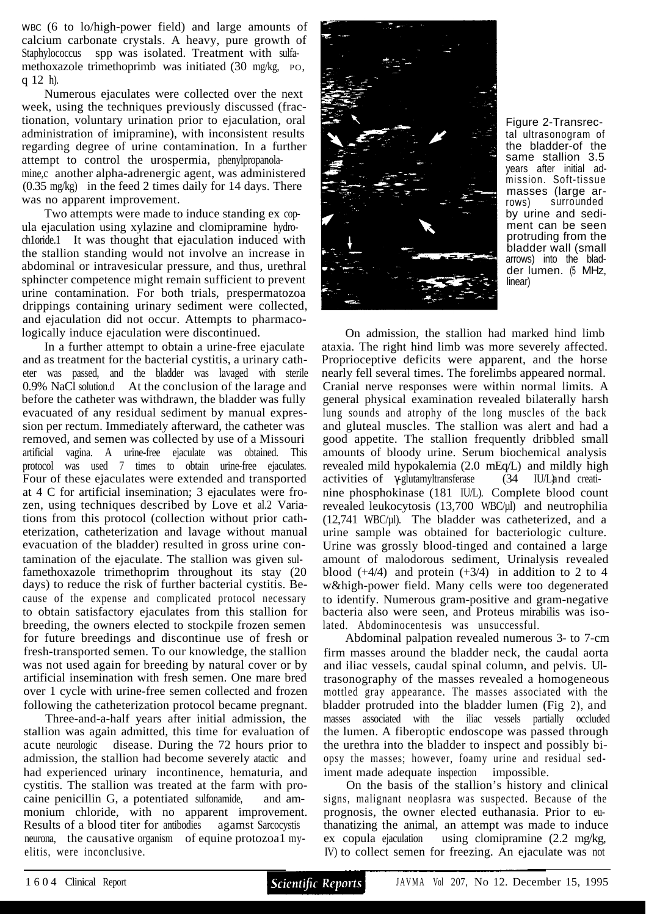WBC (6 to lo/high-power field) and large amounts of calcium carbonate crystals. A heavy, pure growth of Staphylococcus spp was isolated. Treatment with sulfamethoxazole trimethoprimb was initiated (30 mg/kg, PO, q 12 h).

Numerous ejaculates were collected over the next week, using the techniques previously discussed (fractionation, voluntary urination prior to ejaculation, oral administration of imipramine), with inconsistent results regarding degree of urine contamination. In a further attempt to control the urospermia, phenylpropanolamine, c another alpha-adrenergic agent, was administered (0.35 mg/kg) in the feed 2 times daily for 14 days. There was no apparent improvement.

Two attempts were made to induce standing ex copula ejaculation using xylazine and clomipramine hydroch1oride.1 It was thought that ejaculation induced with the stallion standing would not involve an increase in abdominal or intravesicular pressure, and thus, urethral sphincter competence might remain sufficient to prevent urine contamination. For both trials, prespermatozoa drippings containing urinary sediment were collected, and ejaculation did not occur. Attempts to pharmacologically induce ejaculation were discontinued.

In a further attempt to obtain a urine-free ejaculate and as treatment for the bacterial cystitis, a urinary catheter was passed, and the bladder was lavaged with sterile 0.9% NaCl solution.d At the conclusion of the larage and before the catheter was withdrawn, the bladder was fully evacuated of any residual sediment by manual expression per rectum. Immediately afterward, the catheter was removed, and semen was collected by use of a Missouri artificial vagina. A urine-free ejaculate was obtained. This protocol was used 7 times to obtain urine-free ejaculates. Four of these ejaculates were extended and transported at 4 C for artificial insemination; 3 ejaculates were frozen, using techniques described by Love et al.2 Variations from this protocol (collection without prior catheterization, catheterization and lavage without manual evacuation of the bladder) resulted in gross urine contamination of the ejaculate. The stallion was given sulfamethoxazole trimethoprim throughout its stay (20 days) to reduce the risk of further bacterial cystitis. Because of the expense and complicated protocol necessary to obtain satisfactory ejaculates from this stallion for breeding, the owners elected to stockpile frozen semen for future breedings and discontinue use of fresh or fresh-transported semen. To our knowledge, the stallion was not used again for breeding by natural cover or by artificial insemination with fresh semen. One mare bred over 1 cycle with urine-free semen collected and frozen following the catheterization protocol became pregnant.

Three-and-a-half years after initial admission, the stallion was again admitted, this time for evaluation of acute neurologic disease. During the 72 hours prior to admission, the stallion had become severely atactic and had experienced urinary incontinence, hematuria, and cystitis. The stallion was treated at the farm with procaine penicillin G, a potentiated sulfonamide, and ammonium chloride, with no apparent improvement. Results of a blood titer for antibodies agamst Sarcocystis neurona, the causative organism of equine protozoa1 myelitis, were inconclusive.



Figure 2-Transrectal ultrasonogram of the bladder-of the same stallion 3.5 years after initial admission. Soft-tissue masses (large arrows) surrounded by urine and sediment can be seen protruding from the bladder wall (small arrows) into the bladder lumen. (5 MHz, linear)

On admission, the stallion had marked hind limb ataxia. The right hind limb was more severely affected. Proprioceptive deficits were apparent, and the horse nearly fell several times. The forelimbs appeared normal. Cranial nerve responses were within normal limits. A general physical examination revealed bilaterally harsh lung sounds and atrophy of the long muscles of the back and gluteal muscles. The stallion was alert and had a good appetite. The stallion frequently dribbled small amounts of bloody urine. Serum biochemical analysis revealed mild hypokalemia (2.0 mEq/L) and mildly high activities of -glutamyltransferase (34 IU/L) and creatinine phosphokinase (181 IU/L). Complete blood count revealed leukocytosis (13,700 WBC/µl) and neutrophilia  $(12,741 \text{ WBC}/\mu l)$ . The bladder was catheterized, and a urine sample was obtained for bacteriologic culture. Urine was grossly blood-tinged and contained a large amount of malodorous sediment, Urinalysis revealed blood  $(+4/4)$  and protein  $(+3/4)$  in addition to 2 to 4 w&high-power field. Many cells were too degenerated to identify. Numerous gram-positive and gram-negative bacteria also were seen, and Proteus mirabilis was isolated. Abdominocentesis was unsuccessful.

Abdominal palpation revealed numerous 3- to 7-cm firm masses around the bladder neck, the caudal aorta and iliac vessels, caudal spinal column, and pelvis. Ultrasonography of the masses revealed a homogeneous mottled gray appearance. The masses associated with the bladder protruded into the bladder lumen (Fig 2), and masses associated with the iliac vessels partially occluded the lumen. A fiberoptic endoscope was passed through the urethra into the bladder to inspect and possibly biopsy the masses; however, foamy urine and residual sediment made adequate inspection impossible.

On the basis of the stallion's history and clinical signs, malignant neoplasra was suspected. Because of the prognosis, the owner elected euthanasia. Prior to euthanatizing the animal, an attempt was made to induce ex copula ejaculation using clomipramine (2.2 mg/kg, IV) to collect semen for freezing. An ejaculate was not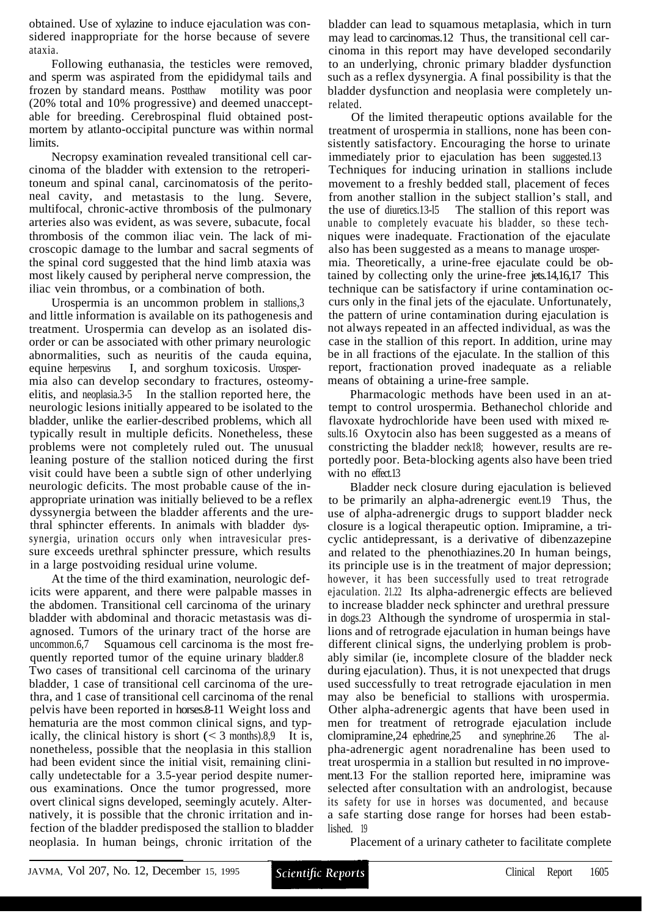obtained. Use of xylazine to induce ejaculation was considered inappropriate for the horse because of severe ataxia.

Following euthanasia, the testicles were removed, and sperm was aspirated from the epididymal tails and frozen by standard means. Postthaw motility was poor (20% total and 10% progressive) and deemed unacceptable for breeding. Cerebrospinal fluid obtained postmortem by atlanto-occipital puncture was within normal limits.

Necropsy examination revealed transitional cell carcinoma of the bladder with extension to the retroperitoneum and spinal canal, carcinomatosis of the peritoneal cavity, and metastasis to the lung. Severe, multifocal, chronic-active thrombosis of the pulmonary arteries also was evident, as was severe, subacute, focal thrombosis of the common iliac vein. The lack of microscopic damage to the lumbar and sacral segments of the spinal cord suggested that the hind limb ataxia was most likely caused by peripheral nerve compression, the iliac vein thrombus, or a combination of both.

Urospermia is an uncommon problem in stallions,3 and little information is available on its pathogenesis and treatment. Urospermia can develop as an isolated disorder or can be associated with other primary neurologic abnormalities, such as neuritis of the cauda equina, equine herpesvirus I, and sorghum toxicosis. Urospermia also can develop secondary to fractures, osteomyelitis, and neoplasia.3-5 In the stallion reported here, the neurologic lesions initially appeared to be isolated to the bladder, unlike the earlier-described problems, which all typically result in multiple deficits. Nonetheless, these problems were not completely ruled out. The unusual leaning posture of the stallion noticed during the first visit could have been a subtle sign of other underlying neurologic deficits. The most probable cause of the inappropriate urination was initially believed to be a reflex dyssynergia between the bladder afferents and the urethral sphincter efferents. In animals with bladder dyssynergia, urination occurs only when intravesicular pressure exceeds urethral sphincter pressure, which results in a large postvoiding residual urine volume.

At the time of the third examination, neurologic deficits were apparent, and there were palpable masses in the abdomen. Transitional cell carcinoma of the urinary bladder with abdominal and thoracic metastasis was diagnosed. Tumors of the urinary tract of the horse are uncommon.6,7 Squamous cell carcinoma is the most frequently reported tumor of the equine urinary bladder.8 Two cases of transitional cell carcinoma of the urinary bladder, 1 case of transitional cell carcinoma of the urethra, and 1 case of transitional cell carcinoma of the renal pelvis have been reported in horses.8-11 Weight loss and hematuria are the most common clinical signs, and typically, the clinical history is short  $\ll$  3 months).8,9 It is, nonetheless, possible that the neoplasia in this stallion had been evident since the initial visit, remaining clinically undetectable for a 3.5-year period despite numerous examinations. Once the tumor progressed, more overt clinical signs developed, seemingly acutely. Alternatively, it is possible that the chronic irritation and infection of the bladder predisposed the stallion to bladder neoplasia. In human beings, chronic irritation of the

bladder can lead to squamous metaplasia, which in turn may lead to carcinomas.12 Thus, the transitional cell carcinoma in this report may have developed secondarily to an underlying, chronic primary bladder dysfunction such as a reflex dysynergia. A final possibility is that the bladder dysfunction and neoplasia were completely unrelated.

Of the limited therapeutic options available for the treatment of urospermia in stallions, none has been consistently satisfactory. Encouraging the horse to urinate immediately prior to ejaculation has been suggested.13 Techniques for inducing urination in stallions include movement to a freshly bedded stall, placement of feces from another stallion in the subject stallion's stall, and the use of diuretics.13-l5 The stallion of this report was unable to completely evacuate his bladder, so these techniques were inadequate. Fractionation of the ejaculate also has been suggested as a means to manage urospermia. Theoretically, a urine-free ejaculate could be obtained by collecting only the urine-free jets.14,16,17 This technique can be satisfactory if urine contamination occurs only in the final jets of the ejaculate. Unfortunately, the pattern of urine contamination during ejaculation is not always repeated in an affected individual, as was the case in the stallion of this report. In addition, urine may be in all fractions of the ejaculate. In the stallion of this report, fractionation proved inadequate as a reliable means of obtaining a urine-free sample.

Pharmacologic methods have been used in an attempt to control urospermia. Bethanechol chloride and flavoxate hydrochloride have been used with mixed results.16 Oxytocin also has been suggested as a means of constricting the bladder neck18; however, results are reportedly poor. Beta-blocking agents also have been tried with no effect.13

Bladder neck closure during ejaculation is believed to be primarily an alpha-adrenergic event.19 Thus, the use of alpha-adrenergic drugs to support bladder neck closure is a logical therapeutic option. Imipramine, a tricyclic antidepressant, is a derivative of dibenzazepine and related to the phenothiazines.20 In human beings, its principle use is in the treatment of major depression; however, it has been successfully used to treat retrograde ejaculation. 21.22 Its alpha-adrenergic effects are believed to increase bladder neck sphincter and urethral pressure in dogs.23 Although the syndrome of urospermia in stallions and of retrograde ejaculation in human beings have different clinical signs, the underlying problem is probably similar (ie, incomplete closure of the bladder neck during ejaculation). Thus, it is not unexpected that drugs used successfully to treat retrograde ejaculation in men may also be beneficial to stallions with urospermia. Other alpha-adrenergic agents that have been used in men for treatment of retrograde ejaculation include clomipramine,24 ephedrine,25 and synephrine.26 The alpha-adrenergic agent noradrenaline has been used to treat urospermia in a stallion but resulted in *no* improvement.13 For the stallion reported here, imipramine was selected after consultation with an andrologist, because its safety for use in horses was documented, and because a safe starting dose range for horses had been established. 19

Placement of a urinary catheter to facilitate complete